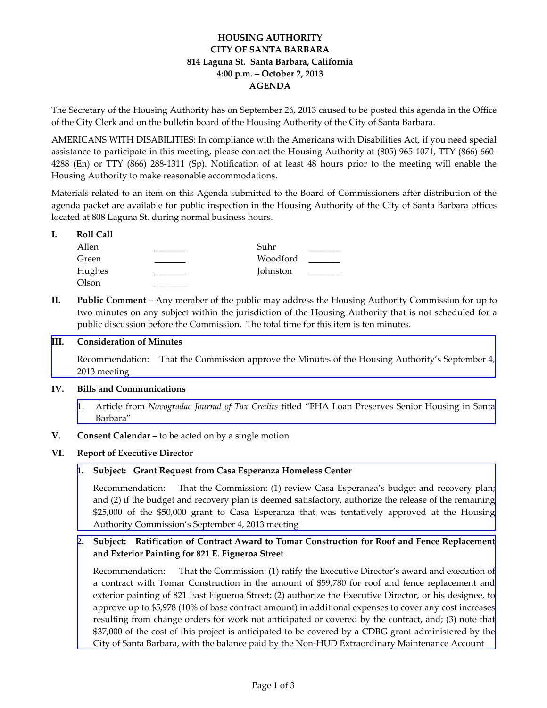# **HOUSING AUTHORITY CITY OF SANTA BARBARA 814 Laguna St. Santa Barbara, California 4:00 p.m. – October 2, 2013 AGENDA**

The Secretary of the Housing Authority has on September 26, 2013 caused to be posted this agenda in the Office of the City Clerk and on the bulletin board of the Housing Authority of the City of Santa Barbara.

AMERICANS WITH DISABILITIES: In compliance with the Americans with Disabilities Act, if you need special assistance to participate in this meeting, please contact the Housing Authority at (805) 965‐1071, TTY (866) 660‐ 4288 (En) or TTY (866) 288‐1311 (Sp). Notification of at least 48 hours prior to the meeting will enable the Housing Authority to make reasonable accommodations.

Materials related to an item on this Agenda submitted to the Board of Commissioners after distribution of the agenda packet are available for public inspection in the Housing Authority of the City of Santa Barbara offices located at 808 Laguna St. during normal business hours.

## **I. Roll Call**

| Allen  | Suhr     |  |
|--------|----------|--|
| Green  | Woodford |  |
| Hughes | Johnston |  |
| Olson  |          |  |

**II. Public Comment** – Any member of the public may address the Housing Authority Commission for up to two minutes on any subject within the jurisdiction of the Housing Authority that is not scheduled for a public discussion before the Commission. The total time for this item is ten minutes.

# **III. Consideration of Minutes**

[Recommendation:](http://www.hacsb.org/Library/agendas_minutes/2013/agenda_packet/Agenda_Packet_2013_10_02/item_III_I_2013_10_02.pdf) That the Commission approve the Minutes of the Housing Authority's September 4, 2013 meeting

# **IV. Bills and Communications**

 1. Article from *[Novogradac](http://www.hacsb.org/Library/agendas_minutes/2013/agenda_packet/Agenda_Packet_2013_10_02/item_IV_I_2013_10_02.pdf) Journal of Tax Credits* titled "FHA Loan Preserves Senior Housing in Santa Barbara"

# **V. Consent Calendar** – to be acted on by a single motion

#### **VI. Report of Executive Director**

**1. Subject: Grant Request from Casa Esperanza Homeless Center**

[Recommendation:](http://www.hacsb.org/Library/agendas_minutes/2013/agenda_packet/Agenda_Packet_2013_10_02/item_VI_I_2013_10_02.pdf) That the Commission: (1) review Casa Esperanza's budget and recovery plan; and (2) if the budget and recovery plan is deemed satisfactory, authorize the release of the remaining \$25,000 of the \$50,000 grant to Casa Esperanza that was tentatively approved at the Housing Authority Commission's September 4, 2013 meeting

# **2. Subject: Ratification of Contract Award to Tomar Construction for Roof and Fence Replacement and Exterior Painting for 821 E. Figueroa Street**

[Recommendation:](http://www.hacsb.org/Library/agendas_minutes/2013/agenda_packet/Agenda_Packet_2013_10_02/item_VI_II_2013_10_02.pdf) That the Commission: (1) ratify the Executive Director's award and execution of a contract with Tomar Construction in the amount of \$59,780 for roof and fence replacement and exterior painting of 821 East Figueroa Street; (2) authorize the Executive Director, or his designee, to approve up to \$5,978 (10% of base contract amount) in additional expenses to cover any cost increases resulting from change orders for work not anticipated or covered by the contract, and; (3) note that \$37,000 of the cost of this project is anticipated to be covered by a CDBG grant administered by the City of Santa Barbara, with the balance paid by the Non‐HUD Extraordinary Maintenance Account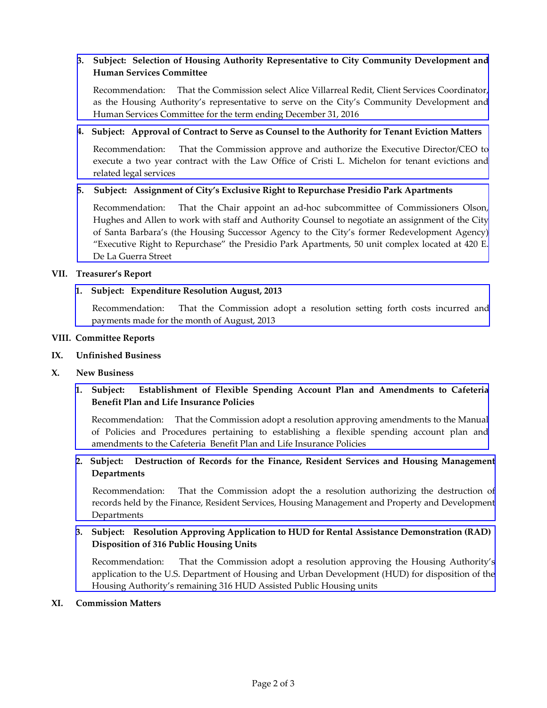# **3. Subject: Selection of Housing Authority Representative to City Community Development and Human Services Committee**

[Recommendation:](http://www.hacsb.org/Library/agendas_minutes/2013/agenda_packet/Agenda_Packet_2013_10_02/item_VI_III_2013_10_02.pdf) That the Commission select Alice Villarreal Redit, Client Services Coordinator, as the Housing Authority's representative to serve on the City's Community Development and Human Services Committee for the term ending December 31, 2016

## **4. Subject: Approval of Contract to Serve as Counsel to the Authority for Tenant Eviction Matters**

[Recommendation:](http://www.hacsb.org/Library/agendas_minutes/2013/agenda_packet/Agenda_Packet_2013_10_02/item_VI_IV_2013_10_02.pdf) That the Commission approve and authorize the Executive Director/CEO to execute a two year contract with the Law Office of Cristi L. Michelon for tenant evictions and related legal services

## **5. Subject: Assignment of City's Exclusive Right to Repurchase Presidio Park Apartments**

[Recommendation:](http://www.hacsb.org/Library/agendas_minutes/2013/agenda_packet/Agenda_Packet_2013_10_02/item_VI_V_2013_10_02.pdf) That the Chair appoint an ad-hoc subcommittee of Commissioners Olson, Hughes and Allen to work with staff and Authority Counsel to negotiate an assignment of the City of Santa Barbara's (the Housing Successor Agency to the City's former Redevelopment Agency) "Executive Right to Repurchase" the Presidio Park Apartments, 50 unit complex located at 420 E. De La Guerra Street

## **VII. Treasurer's Report**

## **1. Subject: Expenditure Resolution August, 2013**

 [Recommendation:](http://www.hacsb.org/Library/agendas_minutes/2013/agenda_packet/Agenda_Packet_2013_10_02/item_VII_I_2013_10_02.pdf) That the Commission adopt a resolution setting forth costs incurred and payments made for the month of August, 2013

#### **VIII. Committee Reports**

### **IX. Unfinished Business**

#### **X. New Business**

# **1. Subject: Establishment of Flexible Spending Account Plan and Amendments to Cafeteria Benefit Plan and Life Insurance Policies**

[Recommendation:](http://www.hacsb.org/Library/agendas_minutes/2013/agenda_packet/Agenda_Packet_2013_10_02/item_X_I_2013_10_02.pdf) That the Commission adopt a resolution approving amendments to the Manual of Policies and Procedures pertaining to establishing a flexible spending account plan and amendments to the Cafeteria Benefit Plan and Life Insurance Policies

# **2. Subject: Destruction of Records for the Finance, Resident Services and Housing Management Departments**

[Recommendation:](http://www.hacsb.org/Library/agendas_minutes/2013/agenda_packet/Agenda_Packet_2013_10_02/item_X_II_2013_10_02.pdf) That the Commission adopt the a resolution authorizing the destruction of records held by the Finance, Resident Services, Housing Management and Property and Development Departments

# **3. Subject: Resolution Approving Application to HUD for Rental Assistance Demonstration (RAD) Disposition of 316 Public Housing Units**

 [Recommendation:](http://www.hacsb.org/Library/agendas_minutes/2013/agenda_packet/Agenda_Packet_2013_10_02/item_X_III_2013_10_02.pdf) That the Commission adopt a resolution approving the Housing Authority's application to the U.S. Department of Housing and Urban Development (HUD) for disposition of the Housing Authority's remaining 316 HUD Assisted Public Housing units

#### **XI. Commission Matters**